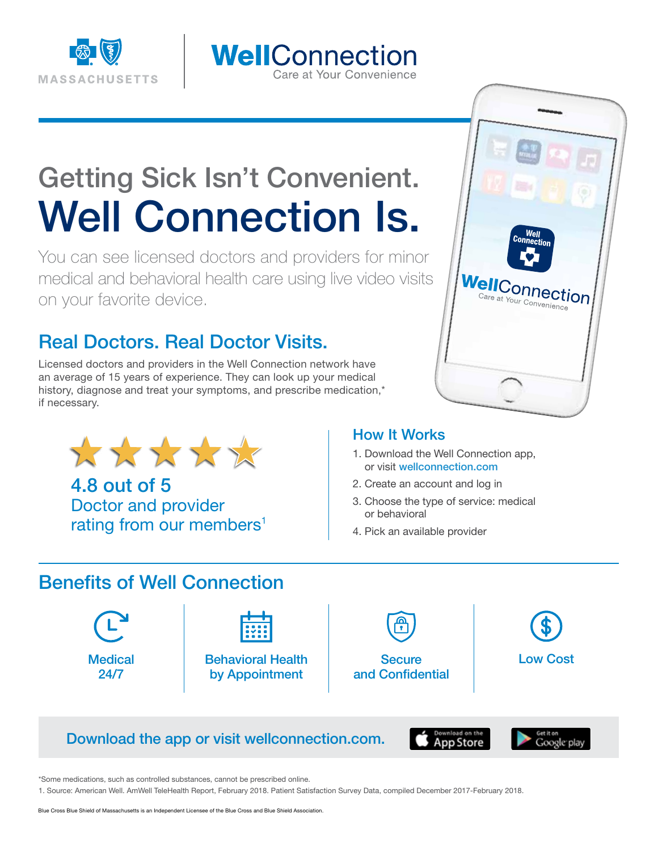

## WellConnection Care at Your Convenience

# Getting Sick Isn't Convenient. Well Connection Is.

You can see licensed doctors and providers for minor medical and behavioral health care using live video visits on your favorite device.

# Real Doctors. Real Doctor Visits.

Licensed doctors and providers in the Well Connection network have an average of 15 years of experience. They can look up your medical history, diagnose and treat your symptoms, and prescribe medication,\* if necessary.



4.8 out of 5 Doctor and provider rating from our members<sup>1</sup>



#### How It Works

- 1. Download the Well Connection app, or visit wellconnection.com
- 2. Create an account and log in
- 3. Choose the type of service: medical or behavioral
- 4. Pick an available provider

## Benefits of Well Connection



| w |  |
|---|--|
|   |  |

Behavioral Health by Appointment

**Secure** and Confidential



## Download the app or visit wellconnection.com.





\*Some medications, such as controlled substances, cannot be prescribed online.

1. Source: American Well. AmWell TeleHealth Report, February 2018. Patient Satisfaction Survey Data, compiled December 2017-February 2018.